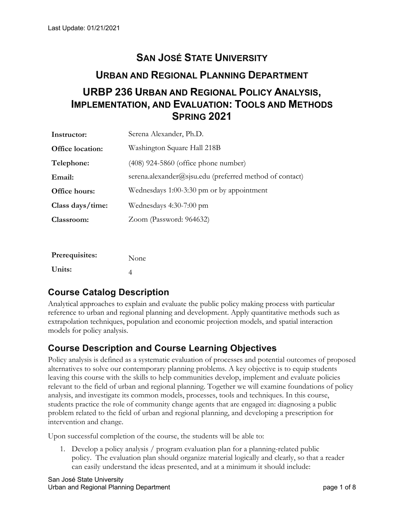# **SAN JOSÉ STATE UNIVERSITY URBAN AND REGIONAL PLANNING DEPARTMENT URBP 236 URBAN AND REGIONAL POLICY ANALYSIS, IMPLEMENTATION, AND EVALUATION: TOOLS AND METHODS SPRING 2021**

| Instructor:             | Serena Alexander, Ph.D.                                 |
|-------------------------|---------------------------------------------------------|
| <b>Office location:</b> | Washington Square Hall 218B                             |
| Telephone:              | $(408)$ 924-5860 (office phone number)                  |
| Email:                  | serena.alexander@sjsu.edu (preferred method of contact) |
| Office hours:           | Wednesdays 1:00-3:30 pm or by appointment               |
| Class days/time:        | Wednesdays 4:30-7:00 pm                                 |
| Classroom:              | Zoom (Password: 964632)                                 |
|                         |                                                         |

| Prerequisites: | None |
|----------------|------|
| Units:         | 4    |

## **Course Catalog Description**

Analytical approaches to explain and evaluate the public policy making process with particular reference to urban and regional planning and development. Apply quantitative methods such as extrapolation techniques, population and economic projection models, and spatial interaction models for policy analysis.

## **Course Description and Course Learning Objectives**

Policy analysis is defined as a systematic evaluation of processes and potential outcomes of proposed alternatives to solve our contemporary planning problems. A key objective is to equip students leaving this course with the skills to help communities develop, implement and evaluate policies relevant to the field of urban and regional planning. Together we will examine foundations of policy analysis, and investigate its common models, processes, tools and techniques. In this course, students practice the role of community change agents that are engaged in: diagnosing a public problem related to the field of urban and regional planning, and developing a prescription for intervention and change.

Upon successful completion of the course, the students will be able to:

1. Develop a policy analysis / program evaluation plan for a planning-related public policy. The evaluation plan should organize material logically and clearly, so that a reader can easily understand the ideas presented, and at a minimum it should include: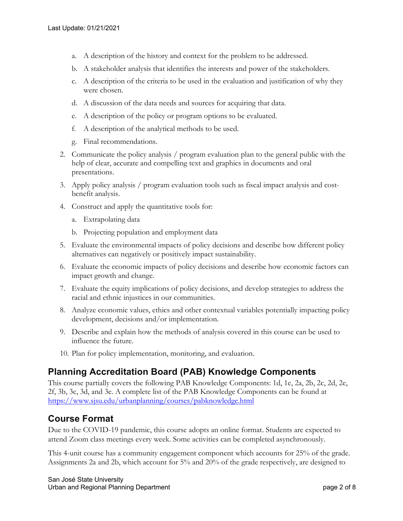- a. A description of the history and context for the problem to be addressed.
- b. A stakeholder analysis that identifies the interests and power of the stakeholders.
- c. A description of the criteria to be used in the evaluation and justification of why they were chosen.
- d. A discussion of the data needs and sources for acquiring that data.
- e. A description of the policy or program options to be evaluated.
- f. A description of the analytical methods to be used.
- g. Final recommendations.
- 2. Communicate the policy analysis / program evaluation plan to the general public with the help of clear, accurate and compelling text and graphics in documents and oral presentations.
- 3. Apply policy analysis / program evaluation tools such as fiscal impact analysis and costbenefit analysis.
- 4. Construct and apply the quantitative tools for:
	- a. Extrapolating data
	- b. Projecting population and employment data
- 5. Evaluate the environmental impacts of policy decisions and describe how different policy alternatives can negatively or positively impact sustainability.
- 6. Evaluate the economic impacts of policy decisions and describe how economic factors can impact growth and change.
- 7. Evaluate the equity implications of policy decisions, and develop strategies to address the racial and ethnic injustices in our communities.
- 8. Analyze economic values, ethics and other contextual variables potentially impacting policy development, decisions and/or implementation.
- 9. Describe and explain how the methods of analysis covered in this course can be used to influence the future.
- 10. Plan for policy implementation, monitoring, and evaluation.

## **Planning Accreditation Board (PAB) Knowledge Components**

This course partially covers the following PAB Knowledge Components: 1d, 1e, 2a, 2b, 2c, 2d, 2e, 2f, 3b, 3c, 3d, and 3e. A complete list of the PAB Knowledge Components can be found at https://www.sjsu.edu/urbanplanning/courses/pabknowledge.html

## **Course Format**

Due to the COVID-19 pandemic, this course adopts an online format. Students are expected to attend Zoom class meetings every week. Some activities can be completed asynchronously.

This 4-unit course has a community engagement component which accounts for 25% of the grade. Assignments 2a and 2b, which account for 5% and 20% of the grade respectively, are designed to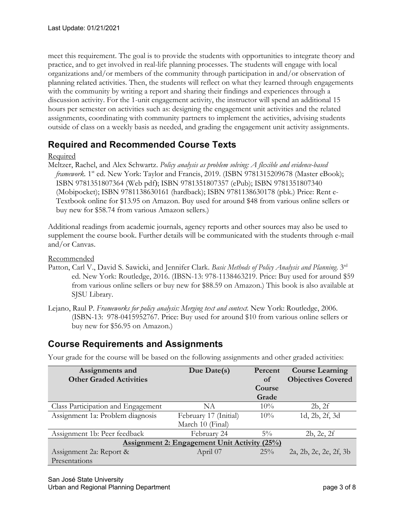meet this requirement. The goal is to provide the students with opportunities to integrate theory and practice, and to get involved in real-life planning processes. The students will engage with local organizations and/or members of the community through participation in and/or observation of planning related activities. Then, the students will reflect on what they learned through engagements with the community by writing a report and sharing their findings and experiences through a discussion activity. For the 1-unit engagement activity, the instructor will spend an additional 15 hours per semester on activities such as: designing the engagement unit activities and the related assignments, coordinating with community partners to implement the activities, advising students outside of class on a weekly basis as needed, and grading the engagement unit activity assignments.

## **Required and Recommended Course Texts**

#### Required

Meltzer, Rachel, and Alex Schwartz. *Policy analysis as problem solving: A flexible and evidence-based framework*. 1<sup>st</sup> ed. New York: Taylor and Francis, 2019. (ISBN 9781315209678 (Master eBook); ISBN 9781351807364 (Web pdf); ISBN 9781351807357 (ePub); ISBN 9781351807340 (Mobipocket); ISBN 9781138630161 (hardback); ISBN 9781138630178 (pbk.) Price: Rent e-Textbook online for \$13.95 on Amazon. Buy used for around \$48 from various online sellers or buy new for \$58.74 from various Amazon sellers.)

Additional readings from academic journals, agency reports and other sources may also be used to supplement the course book. Further details will be communicated with the students through e-mail and/or Canvas.

Recommended

- Patton, Carl V., David S. Sawicki, and Jennifer Clark. *Basic Methods of Policy Analysis and Planning*. 3rd ed. New York: Routledge, 2016. (IBSN-13: 978-1138463219. Price: Buy used for around \$59 from various online sellers or buy new for \$88.59 on Amazon.) This book is also available at SJSU Library.
- Lejano, Raul P. *Frameworks for policy analysis: Merging text and context.* New York: Routledge, 2006. (ISBN-13: 978-0415952767. Price: Buy used for around \$10 from various online sellers or buy new for \$56.95 on Amazon.)

## **Course Requirements and Assignments**

Your grade for the course will be based on the following assignments and other graded activities:

| Assignments and                                     | Due Date(s)           | Percent | <b>Course Learning</b>    |  |  |  |
|-----------------------------------------------------|-----------------------|---------|---------------------------|--|--|--|
| <b>Other Graded Activities</b>                      |                       | of      | <b>Objectives Covered</b> |  |  |  |
|                                                     |                       | Course  |                           |  |  |  |
|                                                     |                       | Grade   |                           |  |  |  |
| Class Participation and Engagement                  | NA                    | 10%     | 2b, 2f                    |  |  |  |
| Assignment 1a: Problem diagnosis                    | February 17 (Initial) | $10\%$  | 1d, 2b, 2f, 3d            |  |  |  |
|                                                     | March 10 (Final)      |         |                           |  |  |  |
| Assignment 1b: Peer feedback                        | February 24           | $5\%$   | 2b, 2e, 2f                |  |  |  |
| <b>Assignment 2: Engagement Unit Activity (25%)</b> |                       |         |                           |  |  |  |
| Assignment 2a: Report &                             | April 07              | 25%     | 2a, 2b, 2c, 2e, 2f, 3b    |  |  |  |
| Presentations                                       |                       |         |                           |  |  |  |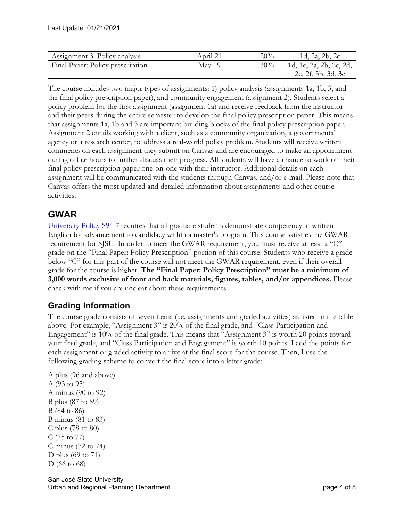| Assignment 3: Policy analysis    | April 21 | 20% | 1d, 2a, 2b, 2c                                |
|----------------------------------|----------|-----|-----------------------------------------------|
| Final Paper: Policy prescription | May 19   | 30% | 1d, 1e, 2a, 2b, 2c, 2d,<br>2e, 2f, 3b, 3d, 3e |

The course includes two major types of assignments: 1) policy analysis (assignments 1a, 1b, 3, and the final policy prescription paper), and community engagement (assignment 2). Students select a policy problem for the first assignment (assignment 1a) and receive feedback from the instructor and their peers during the entire semester to develop the final policy prescription paper. This means that assignments 1a, 1b and 3 are important building blocks of the final policy prescription paper. Assignment 2 entails working with a client, such as a community organization, a governmental agency or a research center, to address a real-world policy problem. Students will receive written comments on each assignment they submit on Canvas and are encouraged to make an appointment during office hours to further discuss their progress. All students will have a chance to work on their final policy prescription paper one-on-one with their instructor. Additional details on each assignment will be communicated with the students through Canvas, and/or e-mail. Please note that Canvas offers the most updated and detailed information about assignments and other course activities.

## **GWAR**

University Policy S94-7 requires that all graduate students demonstrate competency in written English for advancement to candidacy within a master's program. This course satisfies the GWAR requirement for SJSU. In order to meet the GWAR requirement, you must receive at least a "C" grade on the "Final Paper: Policy Prescription" portion of this course. Students who receive a grade below "C" for this part of the course will not meet the GWAR requirement, even if their overall grade for the course is higher. **The "Final Paper: Policy Prescription" must be a minimum of 3,000 words exclusive of front and back materials, figures, tables, and/or appendices.** Please check with me if you are unclear about these requirements.

## **Grading Information**

The course grade consists of seven items (i.e. assignments and graded activities) as listed in the table above. For example, "Assignment 3" is 20% of the final grade, and "Class Participation and Engagement" is 10% of the final grade. This means that "Assignment 3" is worth 20 points toward your final grade, and "Class Participation and Engagement" is worth 10 points. I add the points for each assignment or graded activity to arrive at the final score for the course. Then, I use the following grading scheme to convert the final score into a letter grade:

```
A plus (96 and above)
A (93 to 95)
A minus (90 to 92)
B plus (87 to 89)
B (84 to 86)
B minus (81 to 83)
C plus (78 to 80)
C (75 to 77)
C minus (72 to 74)
D plus (69 to 71)
D (66 to 68)
```
San José State University Urban and Regional Planning Department **page 4 of 8** and 2011 and 2012 and 2012 and 2012 and 2012 and 2012 and 20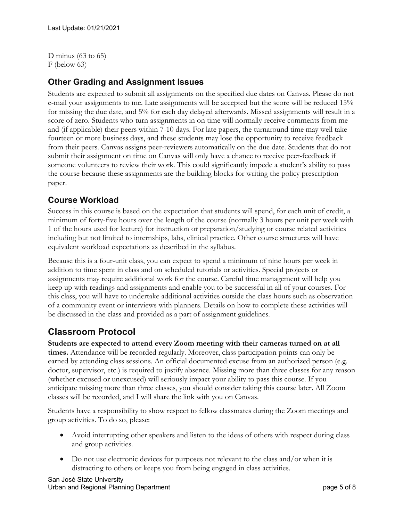D minus  $(63 \text{ to } 65)$ F (below 63)

## **Other Grading and Assignment Issues**

Students are expected to submit all assignments on the specified due dates on Canvas. Please do not e-mail your assignments to me. Late assignments will be accepted but the score will be reduced 15% for missing the due date, and 5% for each day delayed afterwards. Missed assignments will result in a score of zero. Students who turn assignments in on time will normally receive comments from me and (if applicable) their peers within 7-10 days. For late papers, the turnaround time may well take fourteen or more business days, and these students may lose the opportunity to receive feedback from their peers. Canvas assigns peer-reviewers automatically on the due date. Students that do not submit their assignment on time on Canvas will only have a chance to receive peer-feedback if someone volunteers to review their work. This could significantly impede a student's ability to pass the course because these assignments are the building blocks for writing the policy prescription paper.

#### **Course Workload**

Success in this course is based on the expectation that students will spend, for each unit of credit, a minimum of forty-five hours over the length of the course (normally 3 hours per unit per week with 1 of the hours used for lecture) for instruction or preparation/studying or course related activities including but not limited to internships, labs, clinical practice. Other course structures will have equivalent workload expectations as described in the syllabus.

Because this is a four-unit class, you can expect to spend a minimum of nine hours per week in addition to time spent in class and on scheduled tutorials or activities. Special projects or assignments may require additional work for the course. Careful time management will help you keep up with readings and assignments and enable you to be successful in all of your courses. For this class, you will have to undertake additional activities outside the class hours such as observation of a community event or interviews with planners. Details on how to complete these activities will be discussed in the class and provided as a part of assignment guidelines.

## **Classroom Protocol**

**Students are expected to attend every Zoom meeting with their cameras turned on at all times.** Attendance will be recorded regularly. Moreover, class participation points can only be earned by attending class sessions. An official documented excuse from an authorized person (e.g. doctor, supervisor, etc.) is required to justify absence. Missing more than three classes for any reason (whether excused or unexcused) will seriously impact your ability to pass this course. If you anticipate missing more than three classes, you should consider taking this course later. All Zoom classes will be recorded, and I will share the link with you on Canvas.

Students have a responsibility to show respect to fellow classmates during the Zoom meetings and group activities. To do so, please:

- Avoid interrupting other speakers and listen to the ideas of others with respect during class and group activities.
- Do not use electronic devices for purposes not relevant to the class and/or when it is distracting to others or keeps you from being engaged in class activities.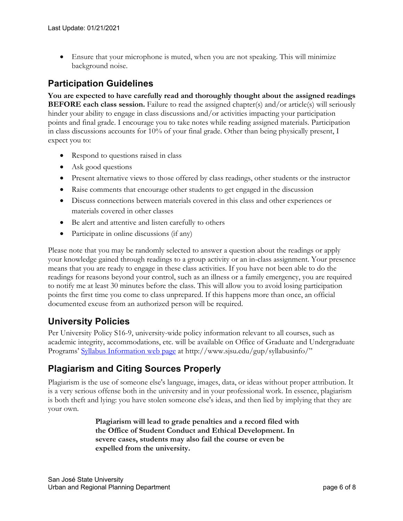• Ensure that your microphone is muted, when you are not speaking. This will minimize background noise.

## **Participation Guidelines**

**You are expected to have carefully read and thoroughly thought about the assigned readings BEFORE each class session.** Failure to read the assigned chapter(s) and/or article(s) will seriously hinder your ability to engage in class discussions and/or activities impacting your participation points and final grade. I encourage you to take notes while reading assigned materials. Participation in class discussions accounts for 10% of your final grade. Other than being physically present, I expect you to:

- Respond to questions raised in class
- Ask good questions
- Present alternative views to those offered by class readings, other students or the instructor
- Raise comments that encourage other students to get engaged in the discussion
- Discuss connections between materials covered in this class and other experiences or materials covered in other classes
- Be alert and attentive and listen carefully to others
- Participate in online discussions (if any)

Please note that you may be randomly selected to answer a question about the readings or apply your knowledge gained through readings to a group activity or an in-class assignment. Your presence means that you are ready to engage in these class activities. If you have not been able to do the readings for reasons beyond your control, such as an illness or a family emergency, you are required to notify me at least 30 minutes before the class. This will allow you to avoid losing participation points the first time you come to class unprepared. If this happens more than once, an official documented excuse from an authorized person will be required.

## **University Policies**

Per University Policy S16-9, university-wide policy information relevant to all courses, such as academic integrity, accommodations, etc. will be available on Office of Graduate and Undergraduate Programs' Syllabus Information web page at http://www.sjsu.edu/gup/syllabusinfo/"

## **Plagiarism and Citing Sources Properly**

Plagiarism is the use of someone else's language, images, data, or ideas without proper attribution. It is a very serious offense both in the university and in your professional work. In essence, plagiarism is both theft and lying: you have stolen someone else's ideas, and then lied by implying that they are your own.

> **Plagiarism will lead to grade penalties and a record filed with the Office of Student Conduct and Ethical Development. In severe cases, students may also fail the course or even be expelled from the university.**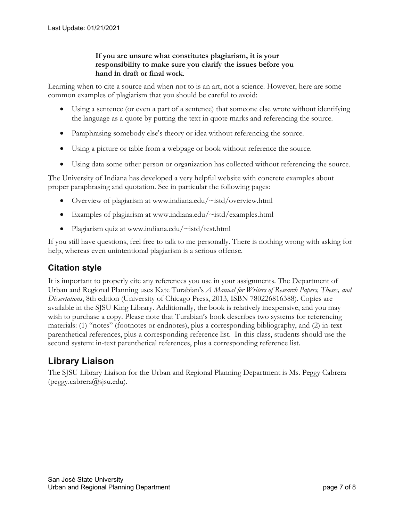#### **If you are unsure what constitutes plagiarism, it is your responsibility to make sure you clarify the issues before you hand in draft or final work.**

Learning when to cite a source and when not to is an art, not a science. However, here are some common examples of plagiarism that you should be careful to avoid:

- Using a sentence (or even a part of a sentence) that someone else wrote without identifying the language as a quote by putting the text in quote marks and referencing the source.
- Paraphrasing somebody else's theory or idea without referencing the source.
- Using a picture or table from a webpage or book without reference the source.
- Using data some other person or organization has collected without referencing the source.

The University of Indiana has developed a very helpful website with concrete examples about proper paraphrasing and quotation. See in particular the following pages:

- Overview of plagiarism at www.indiana.edu/~istd/overview.html
- Examples of plagiarism at www.indiana.edu/~istd/examples.html
- Plagiarism quiz at www.indiana.edu/~istd/test.html

If you still have questions, feel free to talk to me personally. There is nothing wrong with asking for help, whereas even unintentional plagiarism is a serious offense.

## **Citation style**

It is important to properly cite any references you use in your assignments. The Department of Urban and Regional Planning uses Kate Turabian's *A Manual for Writers of Research Papers, Theses, and Dissertations*, 8th edition (University of Chicago Press, 2013, ISBN 780226816388). Copies are available in the SJSU King Library. Additionally, the book is relatively inexpensive, and you may wish to purchase a copy. Please note that Turabian's book describes two systems for referencing materials: (1) "notes" (footnotes or endnotes), plus a corresponding bibliography, and (2) in-text parenthetical references, plus a corresponding reference list. In this class, students should use the second system: in-text parenthetical references, plus a corresponding reference list.

## **Library Liaison**

The SJSU Library Liaison for the Urban and Regional Planning Department is Ms. Peggy Cabrera (peggy.cabrera@sjsu.edu).